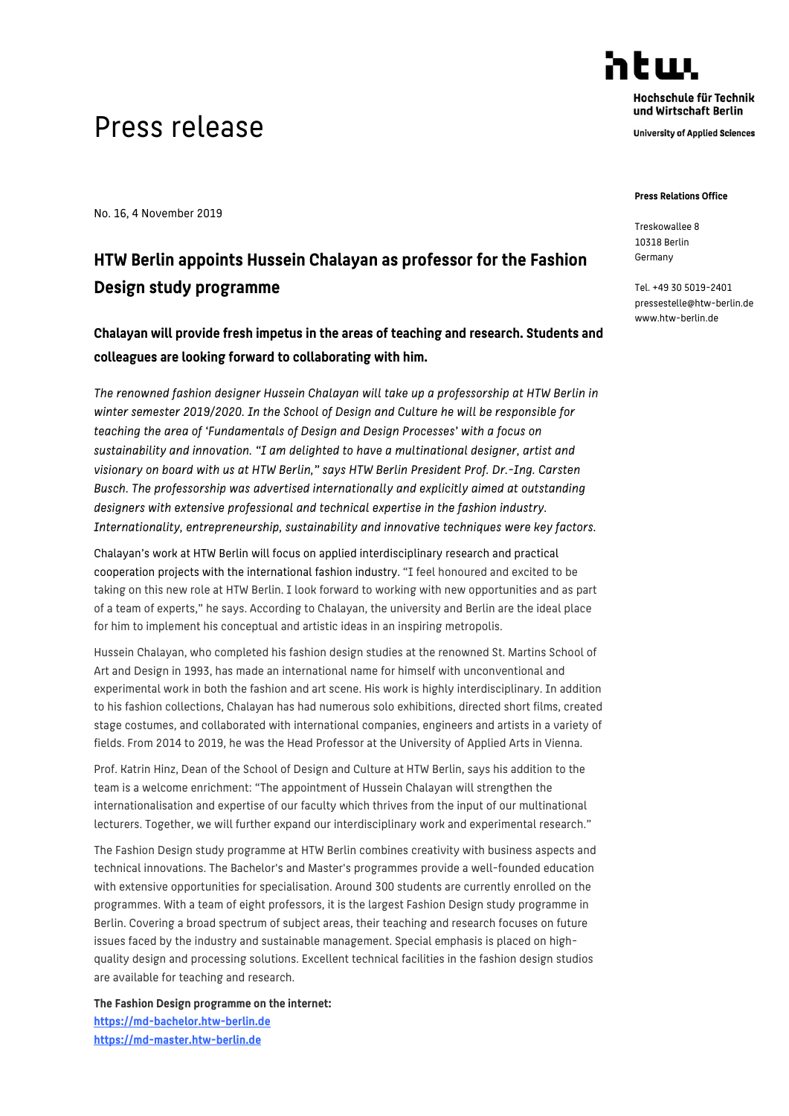## Press release

No. 16, 4 November 2019

## **HTW Berlin appoints Hussein Chalayan as professor for the Fashion Design study programme**

**Chalayan will provide fresh impetus in the areas of teaching and research. Students and colleagues are looking forward to collaborating with him.**

*The renowned fashion designer Hussein Chalayan will take up a professorship at HTW Berlin in winter semester 2019/2020. In the School of Design and Culture he will be responsible for teaching the area of 'Fundamentals of Design and Design Processes' with a focus on sustainability and innovation. "I am delighted to have a multinational designer, artist and visionary on board with us at HTW Berlin," says HTW Berlin President Prof. Dr.-Ing. Carsten Busch. The professorship was advertised internationally and explicitly aimed at outstanding designers with extensive professional and technical expertise in the fashion industry. Internationality, entrepreneurship, sustainability and innovative techniques were key factors.*

Chalayan's work at HTW Berlin will focus on applied interdisciplinary research and practical cooperation projects with the international fashion industry. "I feel honoured and excited to be taking on this new role at HTW Berlin. I look forward to working with new opportunities and as part of a team of experts," he says. According to Chalayan, the university and Berlin are the ideal place for him to implement his conceptual and artistic ideas in an inspiring metropolis.

Hussein Chalayan, who completed his fashion design studies at the renowned St. Martins School of Art and Design in 1993, has made an international name for himself with unconventional and experimental work in both the fashion and art scene. His work is highly interdisciplinary. In addition to his fashion collections, Chalayan has had numerous solo exhibitions, directed short films, created stage costumes, and collaborated with international companies, engineers and artists in a variety of fields. From 2014 to 2019, he was the Head Professor at the University of Applied Arts in Vienna.

Prof. Katrin Hinz, Dean of the School of Design and Culture at HTW Berlin, says his addition to the team is a welcome enrichment: "The appointment of Hussein Chalayan will strengthen the internationalisation and expertise of our faculty which thrives from the input of our multinational lecturers. Together, we will further expand our interdisciplinary work and experimental research."

The Fashion Design study programme at HTW Berlin combines creativity with business aspects and technical innovations. The Bachelor's and Master's programmes provide a well-founded education with extensive opportunities for specialisation. Around 300 students are currently enrolled on the programmes. With a team of eight professors, it is the largest Fashion Design study programme in Berlin. Covering a broad spectrum of subject areas, their teaching and research focuses on future issues faced by the industry and sustainable management. Special emphasis is placed on highquality design and processing solutions. Excellent technical facilities in the fashion design studios are available for teaching and research.

**The Fashion Design programme on the internet: https://md-bachelor.htw-berlin.de [https://md-master.htw-berlin.de](https://md-master.htw-berlin.de/)**

Hochschule für Technik und Wirtschaft Berlin

atuu

**University of Applied Sciences** 

## **Press Pelations Office**

Treskowallee 8 10318 Berlin Germany

Tel. +49 30 5019-2401 pressestelle@htw-berlin.de www.htw-berlin.de